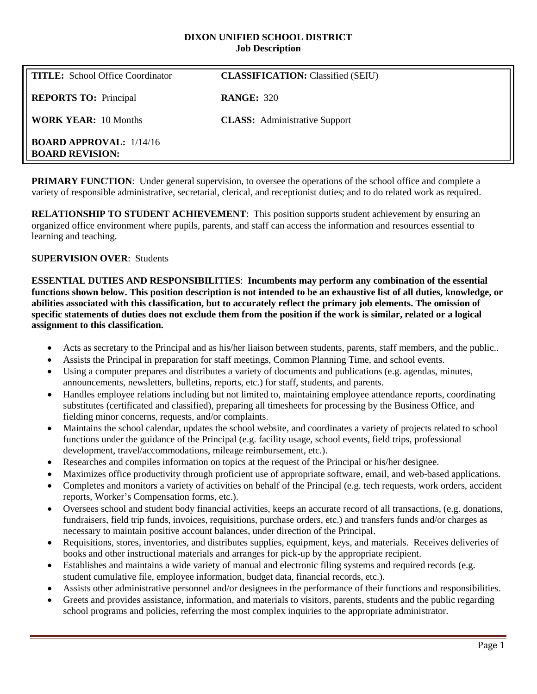#### **DIXON UNIFIED SCHOOL DISTRICT Job Description**

| <b>TITLE:</b> School Office Coordinator                  | <b>CLASSIFICATION:</b> Classified (SEIU) |
|----------------------------------------------------------|------------------------------------------|
| <b>REPORTS TO:</b> Principal                             | <b>RANGE: 320</b>                        |
| <b>WORK YEAR: 10 Months</b>                              | <b>CLASS:</b> Administrative Support     |
| <b>BOARD APPROVAL: 1/14/16</b><br><b>BOARD REVISION:</b> |                                          |

**PRIMARY FUNCTION:** Under general supervision, to oversee the operations of the school office and complete a variety of responsible administrative, secretarial, clerical, and receptionist duties; and to do related work as required.

**RELATIONSHIP TO STUDENT ACHIEVEMENT**: This position supports student achievement by ensuring an organized office environment where pupils, parents, and staff can access the information and resources essential to learning and teaching.

#### **SUPERVISION OVER**: Students

**ESSENTIAL DUTIES AND RESPONSIBILITIES**: **Incumbents may perform any combination of the essential functions shown below. This position description is not intended to be an exhaustive list of all duties, knowledge, or abilities associated with this classification, but to accurately reflect the primary job elements. The omission of specific statements of duties does not exclude them from the position if the work is similar, related or a logical assignment to this classification.**

- Acts as secretary to the Principal and as his/her liaison between students, parents, staff members, and the public..
- Assists the Principal in preparation for staff meetings, Common Planning Time, and school events.
- Using a computer prepares and distributes a variety of documents and publications (e.g. agendas, minutes, announcements, newsletters, bulletins, reports, etc.) for staff, students, and parents.
- Handles employee relations including but not limited to, maintaining employee attendance reports, coordinating substitutes (certificated and classified), preparing all timesheets for processing by the Business Office, and fielding minor concerns, requests, and/or complaints.
- Maintains the school calendar, updates the school website, and coordinates a variety of projects related to school functions under the guidance of the Principal (e.g. facility usage, school events, field trips, professional development, travel/accommodations, mileage reimbursement, etc.).
- Researches and compiles information on topics at the request of the Principal or his/her designee.
- Maximizes office productivity through proficient use of appropriate software, email, and web-based applications.
- Completes and monitors a variety of activities on behalf of the Principal (e.g. tech requests, work orders, accident reports, Worker's Compensation forms, etc.).
- Oversees school and student body financial activities, keeps an accurate record of all transactions, (e.g. donations, fundraisers, field trip funds, invoices, requisitions, purchase orders, etc.) and transfers funds and/or charges as necessary to maintain positive account balances, under direction of the Principal.
- Requisitions, stores, inventories, and distributes supplies, equipment, keys, and materials. Receives deliveries of books and other instructional materials and arranges for pick-up by the appropriate recipient.
- Establishes and maintains a wide variety of manual and electronic filing systems and required records (e.g. student cumulative file, employee information, budget data, financial records, etc.).
- Assists other administrative personnel and/or designees in the performance of their functions and responsibilities.
- Greets and provides assistance, information, and materials to visitors, parents, students and the public regarding school programs and policies, referring the most complex inquiries to the appropriate administrator.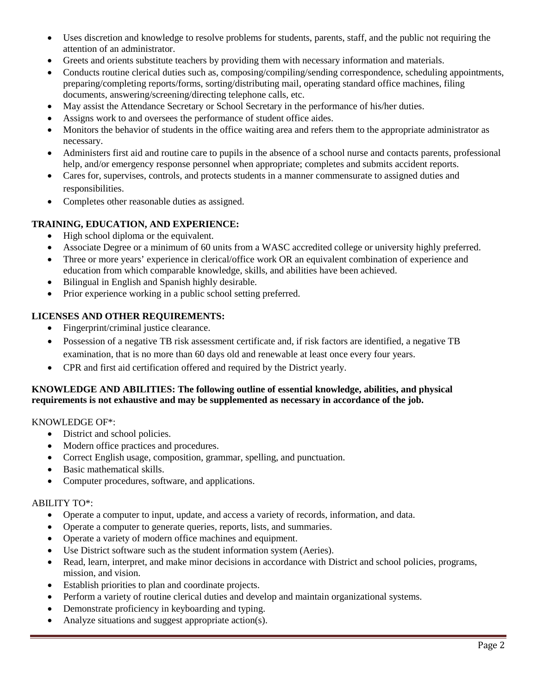- Uses discretion and knowledge to resolve problems for students, parents, staff, and the public not requiring the attention of an administrator.
- Greets and orients substitute teachers by providing them with necessary information and materials.
- Conducts routine clerical duties such as, composing/compiling/sending correspondence, scheduling appointments, preparing/completing reports/forms, sorting/distributing mail, operating standard office machines, filing documents, answering/screening/directing telephone calls, etc.
- May assist the Attendance Secretary or School Secretary in the performance of his/her duties.
- Assigns work to and oversees the performance of student office aides.
- Monitors the behavior of students in the office waiting area and refers them to the appropriate administrator as necessary.
- Administers first aid and routine care to pupils in the absence of a school nurse and contacts parents, professional help, and/or emergency response personnel when appropriate; completes and submits accident reports.
- Cares for, supervises, controls, and protects students in a manner commensurate to assigned duties and responsibilities.
- Completes other reasonable duties as assigned.

# **TRAINING, EDUCATION, AND EXPERIENCE:**

- High school diploma or the equivalent.
- Associate Degree or a minimum of 60 units from a WASC accredited college or university highly preferred.
- Three or more years' experience in clerical/office work OR an equivalent combination of experience and education from which comparable knowledge, skills, and abilities have been achieved.
- Bilingual in English and Spanish highly desirable.
- Prior experience working in a public school setting preferred.

# **LICENSES AND OTHER REQUIREMENTS:**

- Fingerprint/criminal justice clearance.
- Possession of a negative TB risk assessment certificate and, if risk factors are identified, a negative TB examination, that is no more than 60 days old and renewable at least once every four years.
- CPR and first aid certification offered and required by the District yearly.

## **KNOWLEDGE AND ABILITIES: The following outline of essential knowledge, abilities, and physical requirements is not exhaustive and may be supplemented as necessary in accordance of the job.**

## KNOWLEDGE OF\*:

- District and school policies.
- Modern office practices and procedures.
- Correct English usage, composition, grammar, spelling, and punctuation.
- Basic mathematical skills.
- Computer procedures, software, and applications.

## ABILITY TO\*:

- Operate a computer to input, update, and access a variety of records, information, and data.
- Operate a computer to generate queries, reports, lists, and summaries.
- Operate a variety of modern office machines and equipment.
- Use District software such as the student information system (Aeries).
- Read, learn, interpret, and make minor decisions in accordance with District and school policies, programs, mission, and vision.
- Establish priorities to plan and coordinate projects.
- Perform a variety of routine clerical duties and develop and maintain organizational systems.
- Demonstrate proficiency in keyboarding and typing.
- Analyze situations and suggest appropriate action(s).